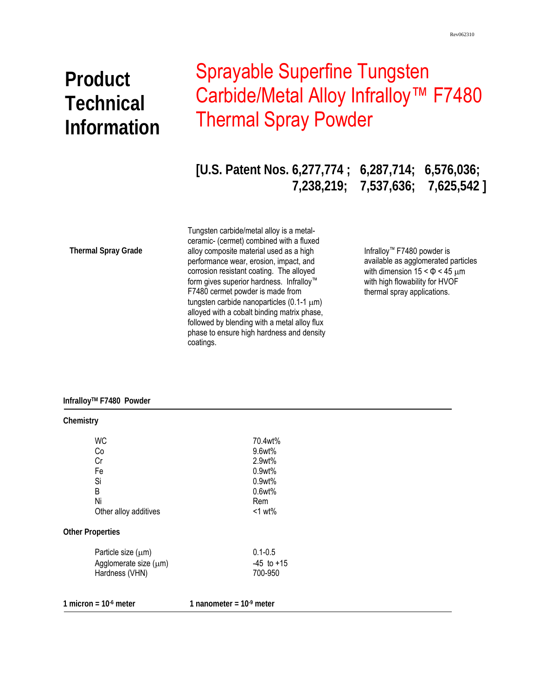# **Product Technical Information**

# Sprayable Superfine Tungsten Carbide/Metal Alloy Infralloy<sup>™</sup> F7480 Thermal Spray Powder

**[U.S. Patent Nos. 6,277,774 ; 6,287,714; 6,576,036; 7,238,219; 7,537,636; 7,625,542 ]** 

**Thermal Spray Grade** 

 phase to ensure high hardness and density Tungsten carbide/metal alloy is a metalceramic- (cermet) combined with a fluxed alloy composite material used as a high performance wear, erosion, impact, and corrosion resistant coating. The alloyed form gives superior hardness. Infralloy™ F7480 cermet powder is made from tungsten carbide nanoparticles (0.1-1 μm) alloyed with a cobalt binding matrix phase, followed by blending with a metal alloy flux coatings.

Infralloy™ F7480 powder is available as agglomerated particles with dimension  $15 < \Phi < 45 \mu m$ with high flowability for HVOF thermal spray applications.

### **InfralloyTM F7480 Powder**

| Chemistry               |                           |
|-------------------------|---------------------------|
| <b>WC</b>               | 70.4wt%                   |
| Co                      | 9.6wt%                    |
| Cr                      | 2.9wt%                    |
| Fe                      | 0.9wt%                    |
| Si                      | 0.9wt%                    |
| B                       | 0.6wt%                    |
| Ni                      | Rem                       |
| Other alloy additives   | $<1$ wt%                  |
| <b>Other Properties</b> |                           |
| Particle size $(\mu m)$ | $0.1 - 0.5$               |
| Agglomerate size (µm)   | $-45$ to $+15$            |
| Hardness (VHN)          | 700-950                   |
| 1 micron = $106$ meter  | 1 nanometer = $109$ meter |